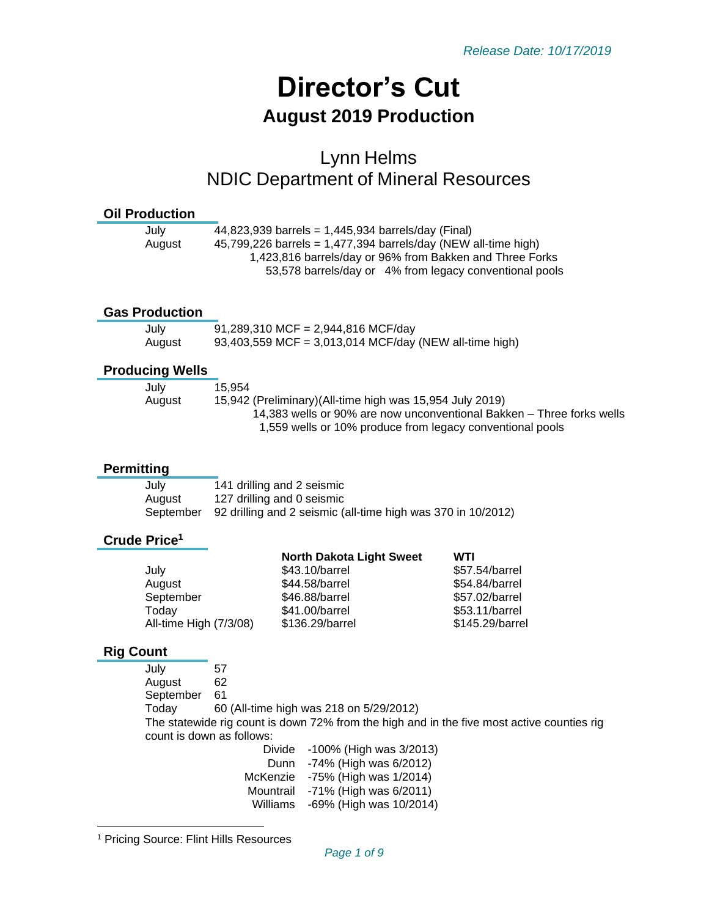# **Director's Cut August 2019 Production**

# Lynn Helms NDIC Department of Mineral Resources

#### **Oil Production**

| July   | 44,823,939 barrels = $1,445,934$ barrels/day (Final)             |
|--------|------------------------------------------------------------------|
| August | 45,799,226 barrels = $1,477,394$ barrels/day (NEW all-time high) |
|        | 1,423,816 barrels/day or 96% from Bakken and Three Forks         |
|        | 53,578 barrels/day or 4% from legacy conventional pools          |
|        |                                                                  |

#### **Gas Production**

| July   | 91,289,310 MCF = 2,944,816 MCF/day                     |
|--------|--------------------------------------------------------|
| August | 93,403,559 MCF = 3,013,014 MCF/day (NEW all-time high) |

### **Producing Wells**

| July                                                                | 15.954                                                                |  |
|---------------------------------------------------------------------|-----------------------------------------------------------------------|--|
| 15,942 (Preliminary) (All-time high was 15,954 July 2019)<br>August |                                                                       |  |
|                                                                     | 14,383 wells or 90% are now unconventional Bakken – Three forks wells |  |
|                                                                     | 1,559 wells or 10% produce from legacy conventional pools             |  |

### **Permitting**

| July      | 141 drilling and 2 seismic                                   |
|-----------|--------------------------------------------------------------|
| August    | 127 drilling and 0 seismic                                   |
| September | 92 drilling and 2 seismic (all-time high was 370 in 10/2012) |

### **Crude Price<sup>1</sup>**

|                        | <b>North Dakota Light Sweet</b> | WTI             |
|------------------------|---------------------------------|-----------------|
| July                   | \$43.10/barrel                  | \$57.54/barrel  |
| August                 | \$44.58/barrel                  | \$54.84/barrel  |
| September              | \$46.88/barrel                  | \$57.02/barrel  |
| Today                  | \$41.00/barrel                  | \$53.11/barrel  |
| All-time High (7/3/08) | \$136.29/barrel                 | \$145.29/barrel |
|                        |                                 |                 |

### **Rig Count**

July 57 August 62 September 61 Today 60 (All-time high was 218 on 5/29/2012) The statewide rig count is down 72% from the high and in the five most active counties rig count is down as follows: Divide -100% (High was 3/2013) Dunn -74% (High was 6/2012) McKenzie -75% (High was 1/2014) Mountrail -71% (High was 6/2011) Williams -69% (High was 10/2014)

<sup>1</sup> Pricing Source: Flint Hills Resources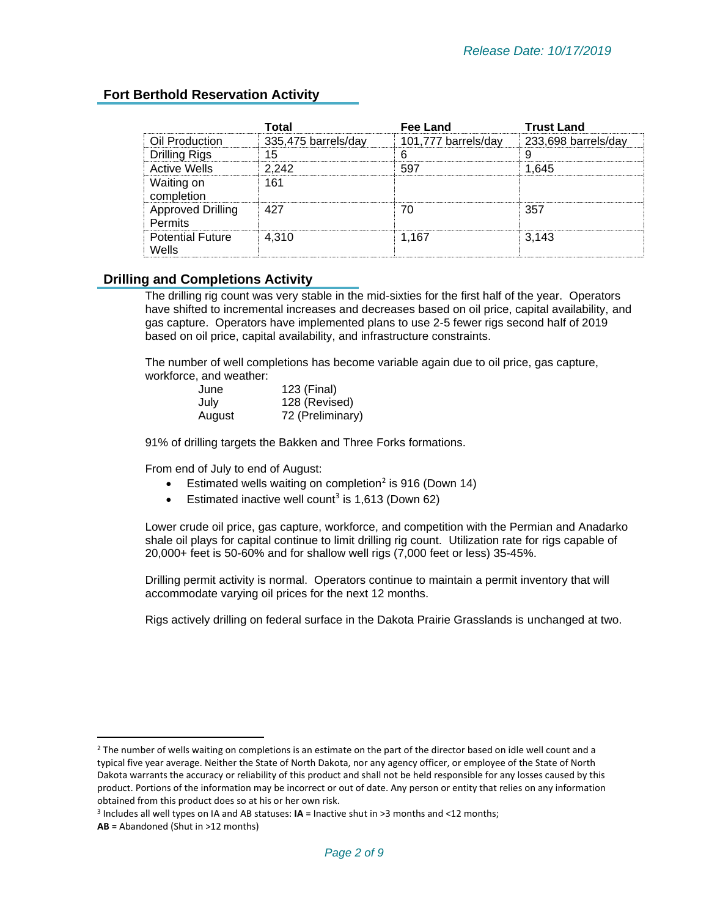# **Fort Berthold Reservation Activity**

|                                            | Total               | Fee Land            | <b>Trust Land</b>   |
|--------------------------------------------|---------------------|---------------------|---------------------|
| Oil Production                             | 335,475 barrels/day | 101,777 barrels/day | 233,698 barrels/day |
| <b>Drilling Rigs</b>                       | 15                  |                     | 9                   |
| <b>Active Wells</b>                        | 2.242               | 597                 | 1.645               |
| Waiting on<br>completion                   | 161                 |                     |                     |
| <b>Approved Drilling</b><br><b>Permits</b> | 427                 | 70                  | 357                 |
| <b>Potential Future</b><br>Wells           | 4.310               | 1.167               | 3.143               |

## **Drilling and Completions Activity**

The drilling rig count was very stable in the mid-sixties for the first half of the year. Operators have shifted to incremental increases and decreases based on oil price, capital availability, and gas capture. Operators have implemented plans to use 2-5 fewer rigs second half of 2019 based on oil price, capital availability, and infrastructure constraints.

The number of well completions has become variable again due to oil price, gas capture, workforce, and weather:

| June   | 123 (Final)      |
|--------|------------------|
| July   | 128 (Revised)    |
| August | 72 (Preliminary) |

91% of drilling targets the Bakken and Three Forks formations.

From end of July to end of August:

- **•** Estimated wells waiting on completion<sup>2</sup> is 916 (Down 14)
- **Estimated inactive well count<sup>3</sup> is 1,613 (Down 62)**

Lower crude oil price, gas capture, workforce, and competition with the Permian and Anadarko shale oil plays for capital continue to limit drilling rig count. Utilization rate for rigs capable of 20,000+ feet is 50-60% and for shallow well rigs (7,000 feet or less) 35-45%.

Drilling permit activity is normal. Operators continue to maintain a permit inventory that will accommodate varying oil prices for the next 12 months.

Rigs actively drilling on federal surface in the Dakota Prairie Grasslands is unchanged at two.

 $2$  The number of wells waiting on completions is an estimate on the part of the director based on idle well count and a typical five year average. Neither the State of North Dakota, nor any agency officer, or employee of the State of North Dakota warrants the accuracy or reliability of this product and shall not be held responsible for any losses caused by this product. Portions of the information may be incorrect or out of date. Any person or entity that relies on any information obtained from this product does so at his or her own risk.

<sup>3</sup> Includes all well types on IA and AB statuses: **IA** = Inactive shut in >3 months and <12 months;

**AB** = Abandoned (Shut in >12 months)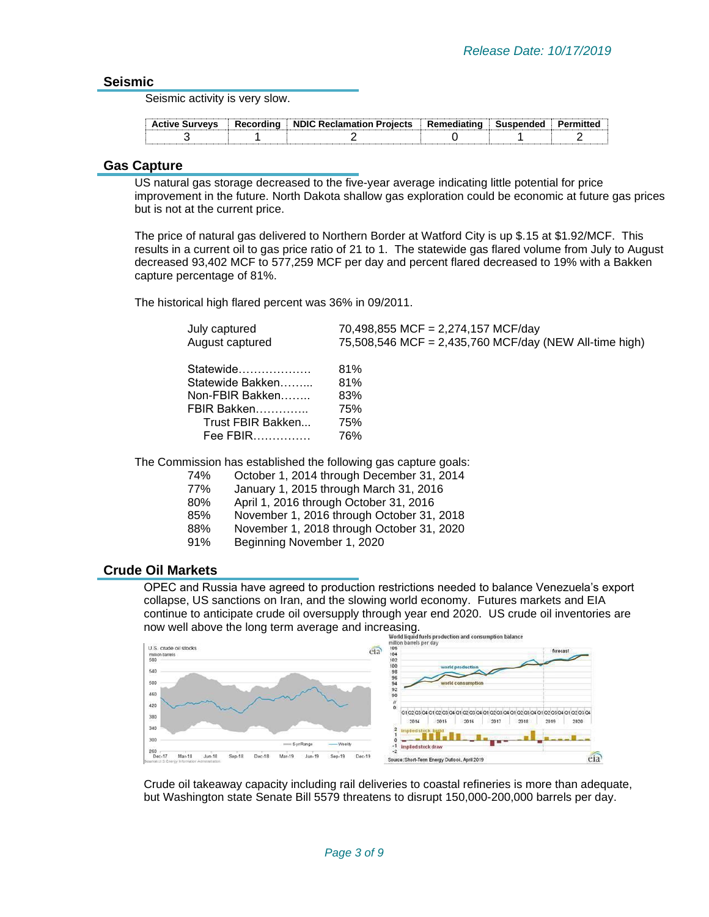#### **Seismic**

Seismic activity is very slow.

| <b>Active Surveys</b> | Recording NDIC Reclamation Projects | : Remediating<br><b></b> | Susnended | 11ττρι |
|-----------------------|-------------------------------------|--------------------------|-----------|--------|
|                       |                                     |                          |           |        |

#### **Gas Capture**

US natural gas storage decreased to the five-year average indicating little potential for price improvement in the future. North Dakota shallow gas exploration could be economic at future gas prices but is not at the current price.

The price of natural gas delivered to Northern Border at Watford City is up \$.15 at \$1.92/MCF. This results in a current oil to gas price ratio of 21 to 1. The statewide gas flared volume from July to August decreased 93,402 MCF to 577,259 MCF per day and percent flared decreased to 19% with a Bakken capture percentage of 81%.

The historical high flared percent was 36% in 09/2011.

| July captured     | 70,498,855 MCF = 2,274,157 MCF/day                     |
|-------------------|--------------------------------------------------------|
| August captured   | 75,508,546 MCF = 2,435,760 MCF/day (NEW All-time high) |
| Statewide         | 81%                                                    |
| Statewide Bakken  | 81%                                                    |
| Non-FBIR Bakken   | 83%                                                    |
| FBIR Bakken       | 75%                                                    |
| Trust FBIR Bakken | 75%                                                    |
| Fee FBIR          | 76%                                                    |
|                   |                                                        |

The Commission has established the following gas capture goals:

- 74% October 1, 2014 through December 31, 2014
- 77% January 1, 2015 through March 31, 2016
- 80% April 1, 2016 through October 31, 2016
- 85% November 1, 2016 through October 31, 2018
- 88% November 1, 2018 through October 31, 2020
- 91% Beginning November 1, 2020

#### **Crude Oil Markets**

OPEC and Russia have agreed to production restrictions needed to balance Venezuela's export collapse, US sanctions on Iran, and the slowing world economy. Futures markets and EIA continue to anticipate crude oil oversupply through year end 2020. US crude oil inventories are continue to anticipate cruce on overage and increasing.<br>now well above the long term average and increasing.<br>million barris per day



Crude oil takeaway capacity including rail deliveries to coastal refineries is more than adequate, but Washington state Senate Bill 5579 threatens to disrupt 150,000-200,000 barrels per day.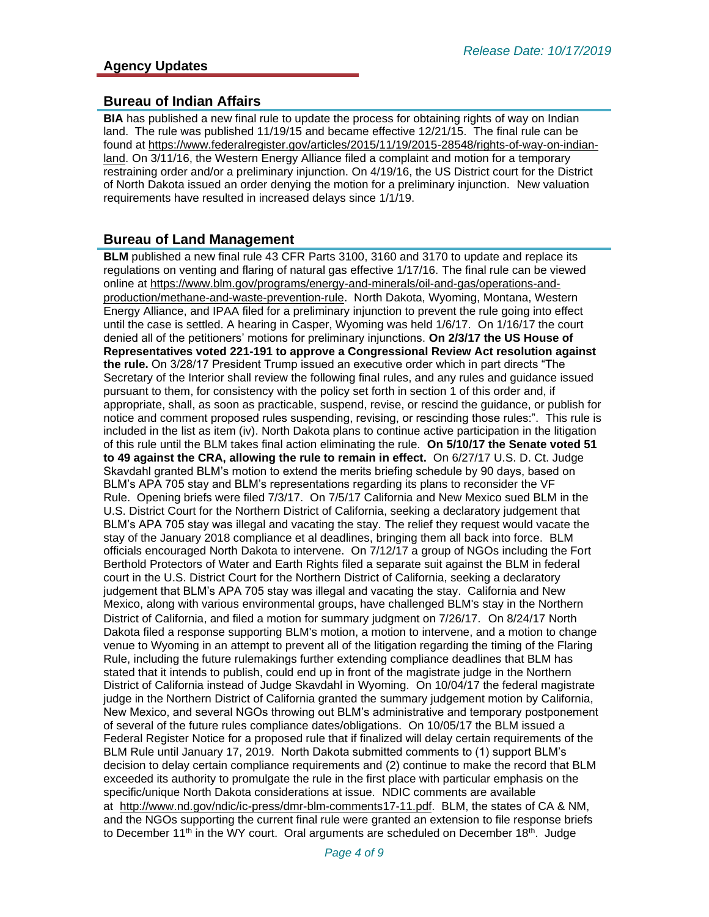### **Bureau of Indian Affairs**

**BIA** has published a new final rule to update the process for obtaining rights of way on Indian land. The rule was published 11/19/15 and became effective 12/21/15. The final rule can be found at [https://www.federalregister.gov/articles/2015/11/19/2015-28548/rights-of-way-on-indian](https://www.federalregister.gov/articles/2015/11/19/2015-28548/rights-of-way-on-indian-land)[land.](https://www.federalregister.gov/articles/2015/11/19/2015-28548/rights-of-way-on-indian-land) On 3/11/16, the Western Energy Alliance filed a complaint and motion for a temporary restraining order and/or a preliminary injunction. On 4/19/16, the US District court for the District of North Dakota issued an order denying the motion for a preliminary injunction. New valuation requirements have resulted in increased delays since 1/1/19.

### **Bureau of Land Management**

**BLM** published a new final rule 43 CFR Parts 3100, 3160 and 3170 to update and replace its regulations on venting and flaring of natural gas effective 1/17/16. The final rule can be viewed online at [https://www.blm.gov/programs/energy-and-minerals/oil-and-gas/operations-and](https://www.blm.gov/programs/energy-and-minerals/oil-and-gas/operations-and-production/methane-and-waste-prevention-rule)[production/methane-and-waste-prevention-rule](https://www.blm.gov/programs/energy-and-minerals/oil-and-gas/operations-and-production/methane-and-waste-prevention-rule). North Dakota, Wyoming, Montana, Western Energy Alliance, and IPAA filed for a preliminary injunction to prevent the rule going into effect until the case is settled. A hearing in Casper, Wyoming was held 1/6/17. On 1/16/17 the court denied all of the petitioners' motions for preliminary injunctions. **On 2/3/17 the US House of Representatives voted 221-191 to approve a Congressional Review Act resolution against the rule.** On 3/28/17 President Trump issued an executive order which in part directs "The Secretary of the Interior shall review the following final rules, and any rules and guidance issued pursuant to them, for consistency with the policy set forth in section 1 of this order and, if appropriate, shall, as soon as practicable, suspend, revise, or rescind the guidance, or publish for notice and comment proposed rules suspending, revising, or rescinding those rules:". This rule is included in the list as item (iv). North Dakota plans to continue active participation in the litigation of this rule until the BLM takes final action eliminating the rule. **On 5/10/17 the Senate voted 51 to 49 against the CRA, allowing the rule to remain in effect.** On 6/27/17 U.S. D. Ct. Judge Skavdahl granted BLM's motion to extend the merits briefing schedule by 90 days, based on BLM's APA 705 stay and BLM's representations regarding its plans to reconsider the VF Rule. Opening briefs were filed 7/3/17. On 7/5/17 California and New Mexico sued BLM in the U.S. District Court for the Northern District of California, seeking a declaratory judgement that BLM's APA 705 stay was illegal and vacating the stay. The relief they request would vacate the stay of the January 2018 compliance et al deadlines, bringing them all back into force. BLM officials encouraged North Dakota to intervene. On 7/12/17 a group of NGOs including the Fort Berthold Protectors of Water and Earth Rights filed a separate suit against the BLM in federal court in the U.S. District Court for the Northern District of California, seeking a declaratory judgement that BLM's APA 705 stay was illegal and vacating the stay. California and New Mexico, along with various environmental groups, have challenged BLM's stay in the Northern District of California, and filed a motion for summary judgment on 7/26/17. On 8/24/17 North Dakota filed a response supporting BLM's motion, a motion to intervene, and a motion to change venue to Wyoming in an attempt to prevent all of the litigation regarding the timing of the Flaring Rule, including the future rulemakings further extending compliance deadlines that BLM has stated that it intends to publish, could end up in front of the magistrate judge in the Northern District of California instead of Judge Skavdahl in Wyoming. On 10/04/17 the federal magistrate judge in the Northern District of California granted the summary judgement motion by California, New Mexico, and several NGOs throwing out BLM's administrative and temporary postponement of several of the future rules compliance dates/obligations. On 10/05/17 the BLM issued a Federal Register Notice for a proposed rule that if finalized will delay certain requirements of the BLM Rule until January 17, 2019. North Dakota submitted comments to (1) support BLM's decision to delay certain compliance requirements and (2) continue to make the record that BLM exceeded its authority to promulgate the rule in the first place with particular emphasis on the specific/unique North Dakota considerations at issue. NDIC comments are available at [http://www.nd.gov/ndic/ic-press/dmr-blm-comments17-11.pdf.](http://www.nd.gov/ndic/ic-press/dmr-blm-comments17-11.pdf) BLM, the states of CA & NM, and the NGOs supporting the current final rule were granted an extension to file response briefs to December 11<sup>th</sup> in the WY court. Oral arguments are scheduled on December 18<sup>th</sup>. Judge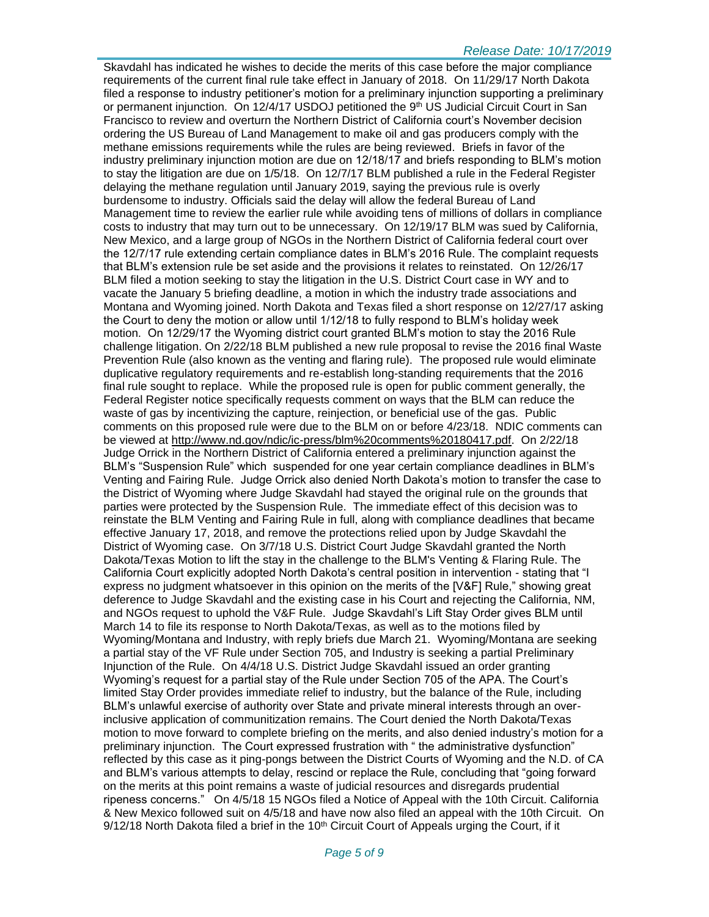Skavdahl has indicated he wishes to decide the merits of this case before the major compliance requirements of the current final rule take effect in January of 2018. On 11/29/17 North Dakota filed a response to industry petitioner's motion for a preliminary injunction supporting a preliminary or permanent injunction. On 12/4/17 USDOJ petitioned the 9<sup>th</sup> US Judicial Circuit Court in San Francisco to review and overturn the Northern District of California court's November decision ordering the US Bureau of Land Management to make oil and gas producers comply with the methane emissions requirements while the rules are being reviewed. Briefs in favor of the industry preliminary injunction motion are due on 12/18/17 and briefs responding to BLM's motion to stay the litigation are due on 1/5/18. On 12/7/17 BLM published a rule in the Federal Register delaying the methane regulation until January 2019, saying the previous rule is overly burdensome to industry. Officials said the delay will allow the federal Bureau of Land Management time to review the earlier rule while avoiding tens of millions of dollars in compliance costs to industry that may turn out to be unnecessary. On 12/19/17 BLM was sued by California, New Mexico, and a large group of NGOs in the Northern District of California federal court over the 12/7/17 rule extending certain compliance dates in BLM's 2016 Rule. The complaint requests that BLM's extension rule be set aside and the provisions it relates to reinstated. On 12/26/17 BLM filed a motion seeking to stay the litigation in the U.S. District Court case in WY and to vacate the January 5 briefing deadline, a motion in which the industry trade associations and Montana and Wyoming joined. North Dakota and Texas filed a short response on 12/27/17 asking the Court to deny the motion or allow until 1/12/18 to fully respond to BLM's holiday week motion. On 12/29/17 the Wyoming district court granted BLM's motion to stay the 2016 Rule challenge litigation. On 2/22/18 BLM published a new rule proposal to revise the 2016 final Waste Prevention Rule (also known as the venting and flaring rule). The proposed rule would eliminate duplicative regulatory requirements and re-establish long-standing requirements that the 2016 final rule sought to replace. While the proposed rule is open for public comment generally, the Federal Register notice specifically requests comment on ways that the BLM can reduce the waste of gas by incentivizing the capture, reinjection, or beneficial use of the gas. Public comments on this proposed rule were due to the BLM on or before 4/23/18. NDIC comments can be viewed at [http://www.nd.gov/ndic/ic-press/blm%20comments%20180417.pdf.](http://www.nd.gov/ndic/ic-press/blm%20comments%20180417.pdf) On 2/22/18 Judge Orrick in the Northern District of California entered a preliminary injunction against the BLM's "Suspension Rule" which suspended for one year certain compliance deadlines in BLM's Venting and Fairing Rule. Judge Orrick also denied North Dakota's motion to transfer the case to the District of Wyoming where Judge Skavdahl had stayed the original rule on the grounds that parties were protected by the Suspension Rule. The immediate effect of this decision was to reinstate the BLM Venting and Fairing Rule in full, along with compliance deadlines that became effective January 17, 2018, and remove the protections relied upon by Judge Skavdahl the District of Wyoming case. On 3/7/18 U.S. District Court Judge Skavdahl granted the North Dakota/Texas Motion to lift the stay in the challenge to the BLM's Venting & Flaring Rule. The California Court explicitly adopted North Dakota's central position in intervention - stating that "I express no judgment whatsoever in this opinion on the merits of the [V&F] Rule," showing great deference to Judge Skavdahl and the existing case in his Court and rejecting the California, NM, and NGOs request to uphold the V&F Rule. Judge Skavdahl's Lift Stay Order gives BLM until March 14 to file its response to North Dakota/Texas, as well as to the motions filed by Wyoming/Montana and Industry, with reply briefs due March 21. Wyoming/Montana are seeking a partial stay of the VF Rule under Section 705, and Industry is seeking a partial Preliminary Injunction of the Rule. On 4/4/18 U.S. District Judge Skavdahl issued an order granting Wyoming's request for a partial stay of the Rule under Section 705 of the APA. The Court's limited Stay Order provides immediate relief to industry, but the balance of the Rule, including BLM's unlawful exercise of authority over State and private mineral interests through an overinclusive application of communitization remains. The Court denied the North Dakota/Texas motion to move forward to complete briefing on the merits, and also denied industry's motion for a preliminary injunction. The Court expressed frustration with " the administrative dysfunction" reflected by this case as it ping-pongs between the District Courts of Wyoming and the N.D. of CA and BLM's various attempts to delay, rescind or replace the Rule, concluding that "going forward on the merits at this point remains a waste of judicial resources and disregards prudential ripeness concerns." On 4/5/18 15 NGOs filed a Notice of Appeal with the 10th Circuit. California & New Mexico followed suit on 4/5/18 and have now also filed an appeal with the 10th Circuit. On  $9/12/18$  North Dakota filed a brief in the 10<sup>th</sup> Circuit Court of Appeals urging the Court, if it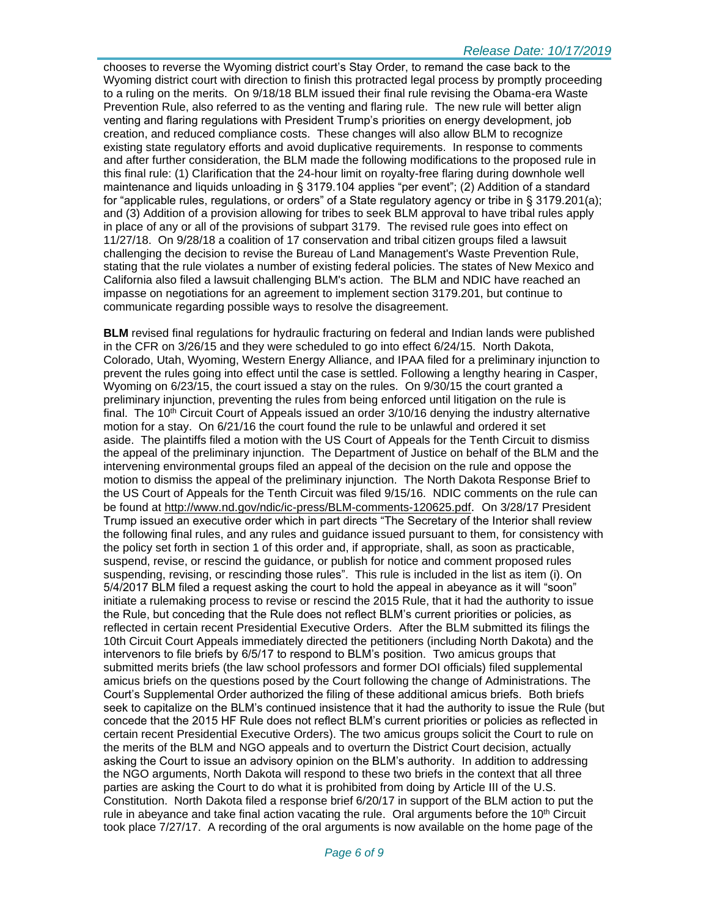chooses to reverse the Wyoming district court's Stay Order, to remand the case back to the Wyoming district court with direction to finish this protracted legal process by promptly proceeding to a ruling on the merits. On 9/18/18 BLM issued their final rule revising the Obama-era Waste Prevention Rule, also referred to as the venting and flaring rule. The new rule will better align venting and flaring regulations with President Trump's priorities on energy development, job creation, and reduced compliance costs. These changes will also allow BLM to recognize existing state regulatory efforts and avoid duplicative requirements. In response to comments and after further consideration, the BLM made the following modifications to the proposed rule in this final rule: (1) Clarification that the 24-hour limit on royalty-free flaring during downhole well maintenance and liquids unloading in § 3179.104 applies "per event"; (2) Addition of a standard for "applicable rules, regulations, or orders" of a State regulatory agency or tribe in § 3179.201(a); and (3) Addition of a provision allowing for tribes to seek BLM approval to have tribal rules apply in place of any or all of the provisions of subpart 3179. The revised rule goes into effect on 11/27/18. On 9/28/18 a coalition of 17 conservation and tribal citizen groups filed a lawsuit challenging the decision to revise the Bureau of Land Management's Waste Prevention Rule, stating that the rule violates a number of existing federal policies. The states of New Mexico and California also filed a lawsuit challenging BLM's action. The BLM and NDIC have reached an impasse on negotiations for an agreement to implement section 3179.201, but continue to communicate regarding possible ways to resolve the disagreement.

**BLM** revised final regulations for hydraulic fracturing on federal and Indian lands were published in the CFR on 3/26/15 and they were scheduled to go into effect 6/24/15. North Dakota, Colorado, Utah, Wyoming, Western Energy Alliance, and IPAA filed for a preliminary injunction to prevent the rules going into effect until the case is settled. Following a lengthy hearing in Casper, Wyoming on 6/23/15, the court issued a stay on the rules. On 9/30/15 the court granted a preliminary injunction, preventing the rules from being enforced until litigation on the rule is final. The 10<sup>th</sup> Circuit Court of Appeals issued an order  $3/10/16$  denying the industry alternative motion for a stay. On 6/21/16 the court found the rule to be unlawful and ordered it set aside. The plaintiffs filed a motion with the US Court of Appeals for the Tenth Circuit to dismiss the appeal of the preliminary injunction. The Department of Justice on behalf of the BLM and the intervening environmental groups filed an appeal of the decision on the rule and oppose the motion to dismiss the appeal of the preliminary injunction. The North Dakota Response Brief to the US Court of Appeals for the Tenth Circuit was filed 9/15/16. NDIC comments on the rule can be found at<http://www.nd.gov/ndic/ic-press/BLM-comments-120625.pdf>. On 3/28/17 President Trump issued an executive order which in part directs "The Secretary of the Interior shall review the following final rules, and any rules and guidance issued pursuant to them, for consistency with the policy set forth in section 1 of this order and, if appropriate, shall, as soon as practicable, suspend, revise, or rescind the guidance, or publish for notice and comment proposed rules suspending, revising, or rescinding those rules". This rule is included in the list as item (i). On 5/4/2017 BLM filed a request asking the court to hold the appeal in abeyance as it will "soon" initiate a rulemaking process to revise or rescind the 2015 Rule, that it had the authority to issue the Rule, but conceding that the Rule does not reflect BLM's current priorities or policies, as reflected in certain recent Presidential Executive Orders. After the BLM submitted its filings the 10th Circuit Court Appeals immediately directed the petitioners (including North Dakota) and the intervenors to file briefs by 6/5/17 to respond to BLM's position. Two amicus groups that submitted merits briefs (the law school professors and former DOI officials) filed supplemental amicus briefs on the questions posed by the Court following the change of Administrations. The Court's Supplemental Order authorized the filing of these additional amicus briefs. Both briefs seek to capitalize on the BLM's continued insistence that it had the authority to issue the Rule (but concede that the 2015 HF Rule does not reflect BLM's current priorities or policies as reflected in certain recent Presidential Executive Orders). The two amicus groups solicit the Court to rule on the merits of the BLM and NGO appeals and to overturn the District Court decision, actually asking the Court to issue an advisory opinion on the BLM's authority. In addition to addressing the NGO arguments, North Dakota will respond to these two briefs in the context that all three parties are asking the Court to do what it is prohibited from doing by Article III of the U.S. Constitution. North Dakota filed a response brief 6/20/17 in support of the BLM action to put the rule in abeyance and take final action vacating the rule. Oral arguments before the  $10<sup>th</sup>$  Circuit took place 7/27/17. A recording of the oral arguments is now available on the home page of the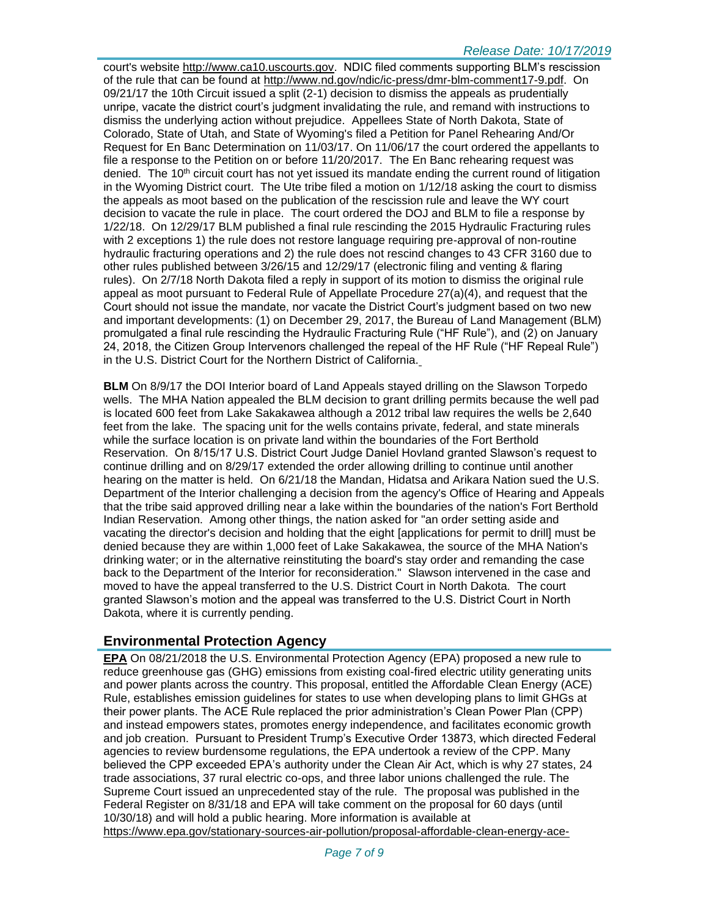court's website [http://www.ca10.uscourts.gov.](https://urldefense.proofpoint.com/v2/url?u=http-3A__www.ca10.uscourts.gov&d=DwMGaQ&c=2s2mvbfY0UoSKkl6_Ol9wg&r=-wqsZnBxny594KY8HeElow&m=Ul_VtJUX6iW5pvHjCcBxUWtskC0F4Dhry3sPtcEHvCw&s=laRHiLDv5w8otcQWQjpn82WMieoB2AZ-Q4M1LFQPL5s&e=) NDIC filed comments supporting BLM's rescission of the rule that can be found at [http://www.nd.gov/ndic/ic-press/dmr-blm-comment17-9.pdf.](http://www.nd.gov/ndic/ic-press/dmr-blm-comment17-9.pdf) On 09/21/17 the 10th Circuit issued a split (2-1) decision to dismiss the appeals as prudentially unripe, vacate the district court's judgment invalidating the rule, and remand with instructions to dismiss the underlying action without prejudice. Appellees State of North Dakota, State of Colorado, State of Utah, and State of Wyoming's filed a Petition for Panel Rehearing And/Or Request for En Banc Determination on 11/03/17. On 11/06/17 the court ordered the appellants to file a response to the Petition on or before 11/20/2017. The En Banc rehearing request was denied. The  $10<sup>th</sup>$  circuit court has not yet issued its mandate ending the current round of litigation in the Wyoming District court. The Ute tribe filed a motion on 1/12/18 asking the court to dismiss the appeals as moot based on the publication of the rescission rule and leave the WY court decision to vacate the rule in place. The court ordered the DOJ and BLM to file a response by 1/22/18. On 12/29/17 BLM published a final rule rescinding the 2015 Hydraulic Fracturing rules with 2 exceptions 1) the rule does not restore language requiring pre-approval of non-routine hydraulic fracturing operations and 2) the rule does not rescind changes to 43 CFR 3160 due to other rules published between 3/26/15 and 12/29/17 (electronic filing and venting & flaring rules). On 2/7/18 North Dakota filed a reply in support of its motion to dismiss the original rule appeal as moot pursuant to Federal Rule of Appellate Procedure 27(a)(4), and request that the Court should not issue the mandate, nor vacate the District Court's judgment based on two new and important developments: (1) on December 29, 2017, the Bureau of Land Management (BLM) promulgated a final rule rescinding the Hydraulic Fracturing Rule ("HF Rule"), and (2) on January 24, 2018, the Citizen Group Intervenors challenged the repeal of the HF Rule ("HF Repeal Rule") in the U.S. District Court for the Northern District of California.

**BLM** On 8/9/17 the DOI Interior board of Land Appeals stayed drilling on the Slawson Torpedo wells. The MHA Nation appealed the BLM decision to grant drilling permits because the well pad is located 600 feet from Lake Sakakawea although a 2012 tribal law requires the wells be 2,640 feet from the lake. The spacing unit for the wells contains private, federal, and state minerals while the surface location is on private land within the boundaries of the Fort Berthold Reservation. On 8/15/17 U.S. District Court Judge Daniel Hovland granted Slawson's request to continue drilling and on 8/29/17 extended the order allowing drilling to continue until another hearing on the matter is held. On 6/21/18 the Mandan, Hidatsa and Arikara Nation sued the U.S. Department of the Interior challenging a decision from the agency's Office of Hearing and Appeals that the tribe said approved drilling near a lake within the boundaries of the nation's Fort Berthold Indian Reservation. Among other things, the nation asked for "an order setting aside and vacating the director's decision and holding that the eight [applications for permit to drill] must be denied because they are within 1,000 feet of Lake Sakakawea, the source of the MHA Nation's drinking water; or in the alternative reinstituting the board's stay order and remanding the case back to the Department of the Interior for reconsideration." Slawson intervened in the case and moved to have the appeal transferred to the U.S. District Court in North Dakota. The court granted Slawson's motion and the appeal was transferred to the U.S. District Court in North Dakota, where it is currently pending.

# **Environmental Protection Agency**

**EPA** On 08/21/2018 the U.S. Environmental Protection Agency (EPA) proposed a new rule to reduce greenhouse gas (GHG) emissions from existing coal-fired electric utility generating units and power plants across the country. This proposal, entitled the Affordable Clean Energy (ACE) Rule, establishes emission guidelines for states to use when developing plans to limit GHGs at their power plants. The ACE Rule replaced the prior administration's Clean Power Plan (CPP) and instead empowers states, promotes energy independence, and facilitates economic growth and job creation. Pursuant to President Trump's Executive Order 13873, which directed Federal agencies to review burdensome regulations, the EPA undertook a review of the CPP. Many believed the CPP exceeded EPA's authority under the Clean Air Act, which is why 27 states, 24 trade associations, 37 rural electric co-ops, and three labor unions challenged the rule. The Supreme Court issued an unprecedented stay of the rule. The proposal was published in the Federal Register on 8/31/18 and EPA will take comment on the proposal for 60 days (until 10/30/18) and will hold a public hearing. More information is available at [https://www.epa.gov/stationary-sources-air-pollution/proposal-affordable-clean-energy-ace-](https://www.epa.gov/stationary-sources-air-pollution/proposal-affordable-clean-energy-ace-rule)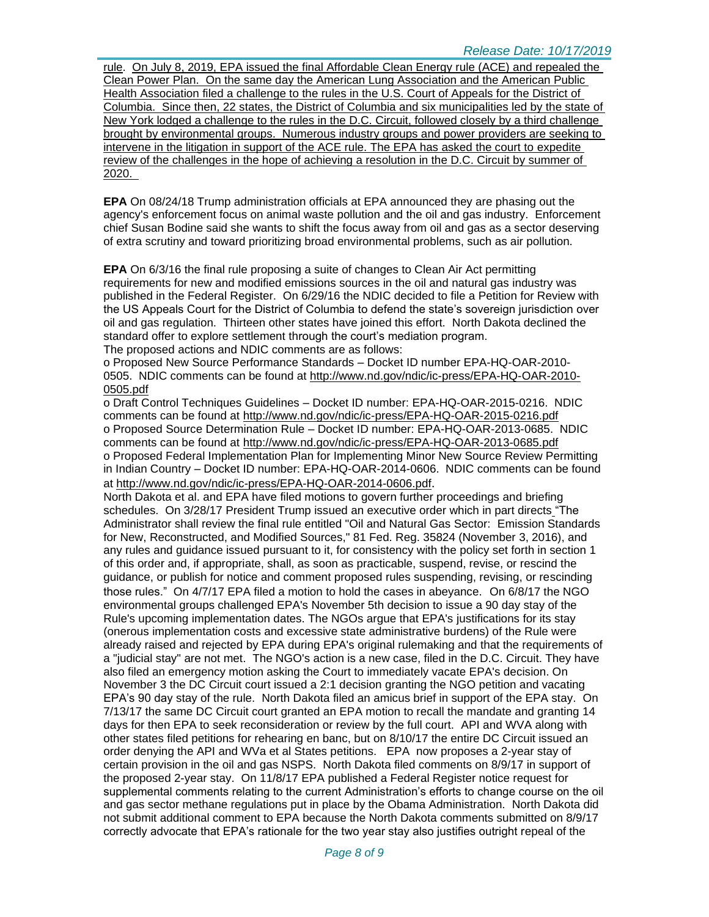[rule.](https://www.epa.gov/stationary-sources-air-pollution/proposal-affordable-clean-energy-ace-rule) On July 8, 2019, EPA issued the final Affordable Clean Energy rule (ACE) and repealed the Clean Power Plan. On the same day the American Lung Association and the American Public Health Association filed a challenge to the rules in the U.S. Court of Appeals for the District of Columbia. Since then, 22 states, the District of Columbia and six municipalities led by the state of New York lodged a challenge to the rules in the D.C. Circuit, followed closely by a third challenge brought by environmental groups. Numerous industry groups and power providers are seeking to intervene in the litigation in support of the ACE rule. The EPA has asked the court to expedite review of the challenges in the hope of achieving a resolution in the D.C. Circuit by summer of 2020.

**EPA** On 08/24/18 Trump administration officials at EPA announced they are phasing out the agency's enforcement focus on animal waste pollution and the oil and gas industry. Enforcement chief Susan Bodine said she wants to shift the focus away from oil and gas as a sector deserving of extra scrutiny and toward prioritizing broad environmental problems, such as air pollution.

**EPA** On 6/3/16 the final rule proposing a suite of changes to Clean Air Act permitting requirements for new and modified emissions sources in the oil and natural gas industry was published in the Federal Register. On 6/29/16 the NDIC decided to file a Petition for Review with the US Appeals Court for the District of Columbia to defend the state's sovereign jurisdiction over oil and gas regulation. Thirteen other states have joined this effort. North Dakota declined the standard offer to explore settlement through the court's mediation program.

The proposed actions and NDIC comments are as follows:

o Proposed New Source Performance Standards – Docket ID number EPA-HQ-OAR-2010- 0505. NDIC comments can be found at [http://www.nd.gov/ndic/ic-press/EPA-HQ-OAR-2010-](http://www.nd.gov/ndic/ic-press/EPA-HQ-OAR-2010-0505.pdf) [0505.pdf](http://www.nd.gov/ndic/ic-press/EPA-HQ-OAR-2010-0505.pdf)

o Draft Control Techniques Guidelines – Docket ID number: EPA-HQ-OAR-2015-0216. NDIC comments can be found at<http://www.nd.gov/ndic/ic-press/EPA-HQ-OAR-2015-0216.pdf> o Proposed Source Determination Rule – Docket ID number: EPA-HQ-OAR-2013-0685. NDIC comments can be found at<http://www.nd.gov/ndic/ic-press/EPA-HQ-OAR-2013-0685.pdf> o Proposed Federal Implementation Plan for Implementing Minor New Source Review Permitting in Indian Country – Docket ID number: EPA-HQ-OAR-2014-0606. NDIC comments can be found at<http://www.nd.gov/ndic/ic-press/EPA-HQ-OAR-2014-0606.pdf>.

North Dakota et al. and EPA have filed motions to govern further proceedings and briefing schedules. On 3/28/17 President Trump issued an executive order which in part directs "The Administrator shall review the final rule entitled "Oil and Natural Gas Sector: Emission Standards for New, Reconstructed, and Modified Sources," 81 Fed. Reg. 35824 (November 3, 2016), and any rules and guidance issued pursuant to it, for consistency with the policy set forth in section 1 of this order and, if appropriate, shall, as soon as practicable, suspend, revise, or rescind the guidance, or publish for notice and comment proposed rules suspending, revising, or rescinding those rules." On 4/7/17 EPA filed a motion to hold the cases in abeyance. On 6/8/17 the NGO environmental groups challenged EPA's November 5th decision to issue a 90 day stay of the Rule's upcoming implementation dates. The NGOs argue that EPA's justifications for its stay (onerous implementation costs and excessive state administrative burdens) of the Rule were already raised and rejected by EPA during EPA's original rulemaking and that the requirements of a "judicial stay" are not met. The NGO's action is a new case, filed in the D.C. Circuit. They have also filed an emergency motion asking the Court to immediately vacate EPA's decision. On November 3 the DC Circuit court issued a 2:1 decision granting the NGO petition and vacating EPA's 90 day stay of the rule. North Dakota filed an amicus brief in support of the EPA stay. On 7/13/17 the same DC Circuit court granted an EPA motion to recall the mandate and granting 14 days for then EPA to seek reconsideration or review by the full court. API and WVA along with other states filed petitions for rehearing en banc, but on 8/10/17 the entire DC Circuit issued an order denying the API and WVa et al States petitions. EPA now proposes a 2-year stay of certain provision in the oil and gas NSPS. North Dakota filed comments on 8/9/17 in support of the proposed 2-year stay. On 11/8/17 EPA published a Federal Register notice request for supplemental comments relating to the current Administration's efforts to change course on the oil and gas sector methane regulations put in place by the Obama Administration. North Dakota did not submit additional comment to EPA because the North Dakota comments submitted on 8/9/17 correctly advocate that EPA's rationale for the two year stay also justifies outright repeal of the